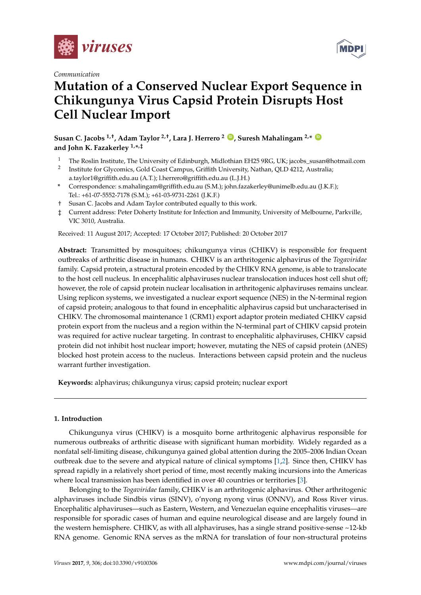





# **Mutation of a Conserved Nuclear Export Sequence in Chikungunya Virus Capsid Protein Disrupts Host Cell Nuclear Import**

**Susan C. Jacobs 1,†, Adam Taylor 2,†, Lara J. Herrero <sup>2</sup> ID , Suresh Mahalingam 2,\* ID and John K. Fazakerley 1,\* ,‡**

- <sup>1</sup> The Roslin Institute, The University of Edinburgh, Midlothian EH25 9RG, UK; jacobs\_susan@hotmail.com
- 2 Institute for Glycomics, Gold Coast Campus, Griffith University, Nathan, QLD 4212, Australia; a.taylor1@griffith.edu.au (A.T.); l.herrero@griffith.edu.au (L.J.H.)
- **\*** Correspondence: s.mahalingam@griffith.edu.au (S.M.); john.fazakerley@unimelb.edu.au (J.K.F.); Tel.: +61-07-5552-7178 (S.M.); +61-03-9731-2261 (J.K.F.)
- † Susan C. Jacobs and Adam Taylor contributed equally to this work.
- ‡ Current address: Peter Doherty Institute for Infection and Immunity, University of Melbourne, Parkville, VIC 3010, Australia.

Received: 11 August 2017; Accepted: 17 October 2017; Published: 20 October 2017

**Abstract:** Transmitted by mosquitoes; chikungunya virus (CHIKV) is responsible for frequent outbreaks of arthritic disease in humans. CHIKV is an arthritogenic alphavirus of the *Togaviridae* family. Capsid protein, a structural protein encoded by the CHIKV RNA genome, is able to translocate to the host cell nucleus. In encephalitic alphaviruses nuclear translocation induces host cell shut off; however, the role of capsid protein nuclear localisation in arthritogenic alphaviruses remains unclear. Using replicon systems, we investigated a nuclear export sequence (NES) in the N-terminal region of capsid protein; analogous to that found in encephalitic alphavirus capsid but uncharacterised in CHIKV. The chromosomal maintenance 1 (CRM1) export adaptor protein mediated CHIKV capsid protein export from the nucleus and a region within the N-terminal part of CHIKV capsid protein was required for active nuclear targeting. In contrast to encephalitic alphaviruses, CHIKV capsid protein did not inhibit host nuclear import; however, mutating the NES of capsid protein (∆NES) blocked host protein access to the nucleus. Interactions between capsid protein and the nucleus warrant further investigation.

**Keywords:** alphavirus; chikungunya virus; capsid protein; nuclear export

# **1. Introduction**

Chikungunya virus (CHIKV) is a mosquito borne arthritogenic alphavirus responsible for numerous outbreaks of arthritic disease with significant human morbidity. Widely regarded as a nonfatal self-limiting disease, chikungunya gained global attention during the 2005–2006 Indian Ocean outbreak due to the severe and atypical nature of clinical symptoms [1,2]. Since then, CHIKV has spread rapidly in a relatively short period of time, most recently making incursions into the Americas where local transmission has been identified in over 40 countries or territories [3].

Belonging to the *Togaviridae* family, CHIKV is an arthritogenic alphavirus. Other arthritogenic alphaviruses include Sindbis virus (SINV), o'nyong nyong virus (ONNV), and Ross River virus. Encephalitic alphaviruses—such as Eastern, Western, and Venezuelan equine encephalitis viruses—are responsible for sporadic cases of human and equine neurological disease and are largely found in the western hemisphere. CHIKV, as with all alphaviruses, has a single strand positive-sense ~12-kb RNA genome. Genomic RNA serves as the mRNA for translation of four non-structural proteins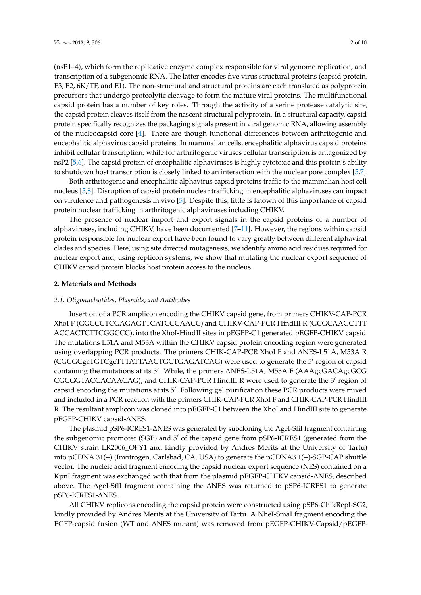(nsP1–4), which form the replicative enzyme complex responsible for viral genome replication, and transcription of a subgenomic RNA. The latter encodes five virus structural proteins (capsid protein, E3, E2, 6K/TF, and E1). The non-structural and structural proteins are each translated as polyprotein precursors that undergo proteolytic cleavage to form the mature viral proteins. The multifunctional capsid protein has a number of key roles. Through the activity of a serine protease catalytic site, the capsid protein cleaves itself from the nascent structural polyprotein. In a structural capacity, capsid protein specifically recognizes the packaging signals present in viral genomic RNA, allowing assembly of the nucleocapsid core [4]. There are though functional differences between arthritogenic and encephalitic alphavirus capsid proteins. In mammalian cells, encephalitic alphavirus capsid proteins inhibit cellular transcription, while for arthritogenic viruses cellular transcription is antagonized by nsP2 [5,6]. The capsid protein of encephalitic alphaviruses is highly cytotoxic and this protein's ability to shutdown host transcription is closely linked to an interaction with the nuclear pore complex [5,7].

Both arthritogenic and encephalitic alphavirus capsid proteins traffic to the mammalian host cell nucleus [5,8]. Disruption of capsid protein nuclear trafficking in encephalitic alphaviruses can impact on virulence and pathogenesis in vivo [5]. Despite this, little is known of this importance of capsid protein nuclear trafficking in arthritogenic alphaviruses including CHIKV.

The presence of nuclear import and export signals in the capsid proteins of a number of alphaviruses, including CHIKV, have been documented [7–11]. However, the regions within capsid protein responsible for nuclear export have been found to vary greatly between different alphaviral clades and species. Here, using site directed mutagenesis, we identify amino acid residues required for nuclear export and, using replicon systems, we show that mutating the nuclear export sequence of CHIKV capsid protein blocks host protein access to the nucleus.

#### **2. Materials and Methods**

### *2.1. Oligonucleotides, Plasmids, and Antibodies*

Insertion of a PCR amplicon encoding the CHIKV capsid gene, from primers CHIKV-CAP-PCR XhoI F (GGCCCTCGAGAGTTCATCCCAACC) and CHIKV-CAP-PCR HindIII R (GCGCAAGCTTT ACCACTCTTCGGCCC), into the XhoI-HindII sites in pEGFP-C1 generated pEGFP-CHIKV capsid. The mutations L51A and M53A within the CHIKV capsid protein encoding region were generated using overlapping PCR products. The primers CHIK-CAP-PCR XhoI F and ∆NES-L51A, M53A R (CGCGCgcTGTCgcTTTATTAACTGCTGAGATCAG) were used to generate the 5′ region of capsid containing the mutations at its 3′ . While, the primers ∆NES-L51A, M53A F (AAAgcGACAgcGCG CGCGGTACCACAACAG), and CHIK-CAP-PCR HindIII R were used to generate the 3' region of capsid encoding the mutations at its 5′ . Following gel purification these PCR products were mixed and included in a PCR reaction with the primers CHIK-CAP-PCR XhoI F and CHIK-CAP-PCR HindIII R. The resultant amplicon was cloned into pEGFP-C1 between the XhoI and HindIII site to generate pEGFP-CHIKV capsid-∆NES.

The plasmid pSP6-ICRES1-∆NES was generated by subcloning the AgeI-SfiI fragment containing the subgenomic promoter (SGP) and 5′ of the capsid gene from pSP6-ICRES1 (generated from the CHIKV strain LR2006\_OPY1 and kindly provided by Andres Merits at the University of Tartu) into pCDNA.31(+) (Invitrogen, Carlsbad, CA, USA) to generate the pCDNA3.1(+)-SGP-CAP shuttle vector. The nucleic acid fragment encoding the capsid nuclear export sequence (NES) contained on a KpnI fragment was exchanged with that from the plasmid pEGFP-CHIKV capsid-∆NES, described above. The AgeI-SflI fragment containing the ∆NES was returned to pSP6-ICRES1 to generate pSP6-ICRES1-∆NES.

All CHIKV replicons encoding the capsid protein were constructed using pSP6-ChikRepl-SG2, kindly provided by Andres Merits at the University of Tartu. A NheI-SmaI fragment encoding the EGFP-capsid fusion (WT and ∆NES mutant) was removed from pEGFP-CHIKV-Capsid/pEGFP-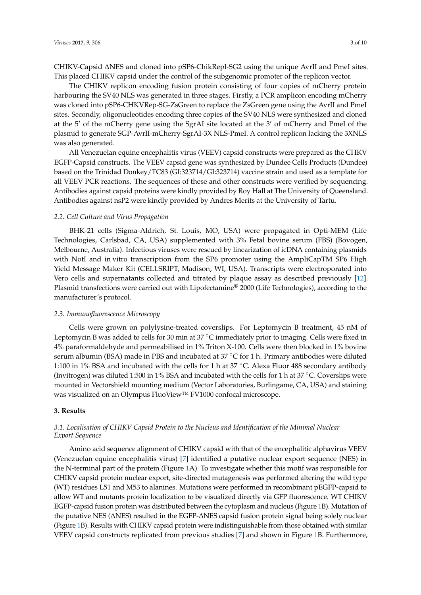CHIKV-Capsid ∆NES and cloned into pSP6-ChikRepl-SG2 using the unique AvrII and PmeI sites. This placed CHIKV capsid under the control of the subgenomic promoter of the replicon vector.

The CHIKV replicon encoding fusion protein consisting of four copies of mCherry protein harbouring the SV40 NLS was generated in three stages. Firstly, a PCR amplicon encoding mCherry was cloned into pSP6-CHKVRep-SG-ZsGreen to replace the ZsGreen gene using the AvrII and PmeI sites. Secondly, oligonucleotides encoding three copies of the SV40 NLS were synthesized and cloned at the 5′ of the mCherry gene using the SgrAI site located at the 3′ of mCherry and PmeI of the plasmid to generate SGP-AvrII-mCherry-SgrAI-3X NLS-PmeI. A control replicon lacking the 3XNLS was also generated.

All Venezuelan equine encephalitis virus (VEEV) capsid constructs were prepared as the CHKV EGFP-Capsid constructs. The VEEV capsid gene was synthesized by Dundee Cells Products (Dundee) based on the Trinidad Donkey/TC83 (GI:323714/GI:323714) vaccine strain and used as a template for all VEEV PCR reactions. The sequences of these and other constructs were verified by sequencing. Antibodies against capsid proteins were kindly provided by Roy Hall at The University of Queensland. Antibodies against nsP2 were kindly provided by Andres Merits at the University of Tartu.

#### *2.2. Cell Culture and Virus Propagation*

BHK-21 cells (Sigma-Aldrich, St. Louis, MO, USA) were propagated in Opti-MEM (Life Technologies, Carlsbad, CA, USA) supplemented with 3% Fetal bovine serum (FBS) (Bovogen, Melbourne, Australia). Infectious viruses were rescued by linearization of icDNA containing plasmids with NotI and in vitro transcription from the SP6 promoter using the AmpliCapTM SP6 High Yield Message Maker Kit (CELLSRIPT, Madison, WI, USA). Transcripts were electroporated into Vero cells and supernatants collected and titrated by plaque assay as described previously [12]. Plasmid transfections were carried out with Lipofectamine® 2000 (Life Technologies), according to the manufacturer's protocol.

#### *2.3. Immunofluorescence Microscopy*

Cells were grown on polylysine-treated coverslips. For Leptomycin B treatment, 45 nM of Leptomycin B was added to cells for 30 min at 37 ◦C immediately prior to imaging. Cells were fixed in 4% paraformaldehyde and permeabilised in 1% Triton X-100. Cells were then blocked in 1% bovine serum albumin (BSA) made in PBS and incubated at 37 °C for 1 h. Primary antibodies were diluted 1:100 in 1% BSA and incubated with the cells for 1 h at 37 ◦C. Alexa Fluor 488 secondary antibody (Invitrogen) was diluted 1:500 in 1% BSA and incubated with the cells for 1 h at 37 ◦C. Coverslips were mounted in Vectorshield mounting medium (Vector Laboratories, Burlingame, CA, USA) and staining was visualized on an Olympus FluoView™ FV1000 confocal microscope.

## **3. Results**

# *3.1. Localisation of CHIKV Capsid Protein to the Nucleus and Identification of the Minimal Nuclear Export Sequence*

Amino acid sequence alignment of CHIKV capsid with that of the encephalitic alphavirus VEEV (Venezuelan equine encephalitis virus) [7] identified a putative nuclear export sequence (NES) in the N-terminal part of the protein (Figure 1A). To investigate whether this motif was responsible for CHIKV capsid protein nuclear export, site-directed mutagenesis was performed altering the wild type (WT) residues L51 and M53 to alanines. Mutations were performed in recombinant pEGFP-capsid to allow WT and mutants protein localization to be visualized directly via GFP fluorescence. WT CHIKV EGFP-capsid fusion protein was distributed between the cytoplasm and nucleus (Figure 1B). Mutation of the putative NES (∆NES) resulted in the EGFP-∆NES capsid fusion protein signal being solely nuclear (Figure 1B). Results with CHIKV capsid protein were indistinguishable from those obtained with similar VEEV capsid constructs replicated from previous studies [7] and shown in Figure 1B. Furthermore,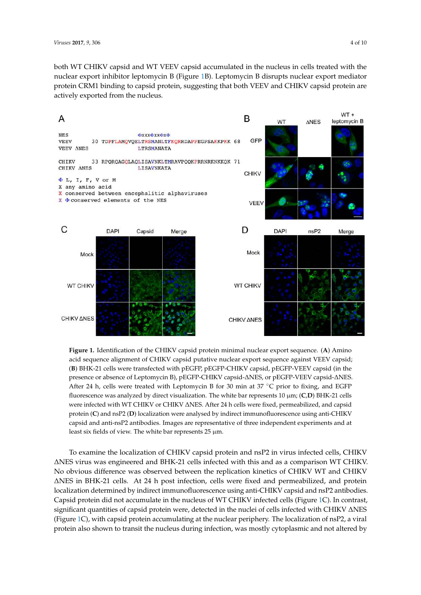both WT CHIKV capsid and WT VEEV capsid accumulated in the nucleus in cells treated with the nuclear export inhibitor leptomycin B (Figure 1B). Leptomycin B disrupts nuclear export mediator protein CRM1 binding to capsid protein, suggesting that both VEEV and CHIKV capsid protein are actively exported from the nucleus.



presence or absence of Leptomycin B), pEGFP-CHIKV capsid-∆NES, or pEGFP-VEEV capsid-∆NES. were infected with WT CHIKV or CHIKV ΔNES. After 24 h cells were fixed, permeabilized, and capsid **Figure 1.** Identification of the CHIKV capsid protein minimal nuclear export sequence. (**A**) Amino acid sequence alignment of CHIKV capsid putative nuclear export sequence against VEEV capsid; (**B**) BHK-21 cells were transfected with pEGFP, pEGFP-CHIKV capsid, pEGFP-VEEV capsid (in the After 24 h, cells were treated with Leptomycin B for 30 min at  $37^{\circ}$ C prior to fixing, and EGFP fluorescence was analyzed by direct visualization. The white bar represents 10 µm; (**C**,**D**) BHK-21 cells protein (**C**) and nsP2 (**D**) localization were analysed by indirect immunofluorescence using anti-CHIKV capsid and anti-nsP2 antibodies. Images are representative of three independent experiments and at least six fields of view. The white bar represents  $25 \mu m$ .

∆ ∆NES virus was engineered and BHK-21 cells infected with this and as a comparison WT CHIKV. No obvious difference was observed between the replication kinetics of CHIKV WT and CHIKV (Figure 1C), with capsid protein accumulating at the nuclear periphery. The localization of nsP2, a viral To examine the localization of CHIKV capsid protein and nsP2 in virus infected cells, CHIKV ∆NES in BHK-21 cells. At 24 h post infection, cells were fixed and permeabilized, and protein localization determined by indirect immunofluorescence using anti-CHIKV capsid and nsP2 antibodies. Capsid protein did not accumulate in the nucleus of WT CHIKV infected cells (Figure 1C). In contrast, significant quantities of capsid protein were, detected in the nuclei of cells infected with CHIKV ∆NES protein also shown to transit the nucleus during infection, was mostly cytoplasmic and not altered by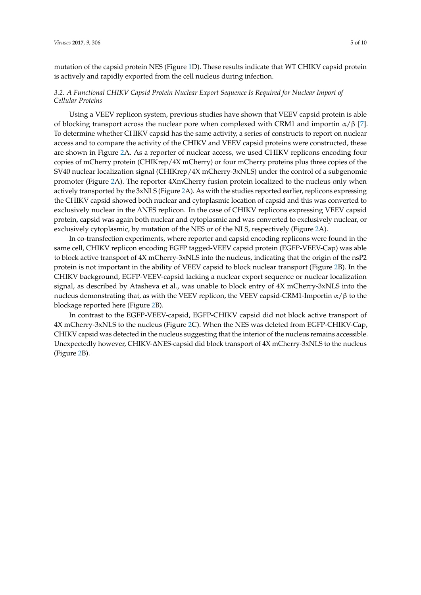mutation of the capsid protein NES (Figure 1D). These results indicate that WT CHIKV capsid protein is actively and rapidly exported from the cell nucleus during infection.

## *3.2. A Functional CHIKV Capsid Protein Nuclear Export Sequence Is Required for Nuclear Import of Cellular Proteins*

Using a VEEV replicon system, previous studies have shown that VEEV capsid protein is able of blocking transport across the nuclear pore when complexed with CRM1 and importin  $\alpha/\beta$  [7]. To determine whether CHIKV capsid has the same activity, a series of constructs to report on nuclear access and to compare the activity of the CHIKV and VEEV capsid proteins were constructed, these are shown in Figure 2A. As a reporter of nuclear access, we used CHIKV replicons encoding four copies of mCherry protein (CHIKrep/4X mCherry) or four mCherry proteins plus three copies of the SV40 nuclear localization signal (CHIKrep/4X mCherry-3xNLS) under the control of a subgenomic promoter (Figure 2A). The reporter 4XmCherry fusion protein localized to the nucleus only when actively transported by the 3xNLS (Figure 2A). As with the studies reported earlier, replicons expressing the CHIKV capsid showed both nuclear and cytoplasmic location of capsid and this was converted to exclusively nuclear in the ∆NES replicon. In the case of CHIKV replicons expressing VEEV capsid protein, capsid was again both nuclear and cytoplasmic and was converted to exclusively nuclear, or exclusively cytoplasmic, by mutation of the NES or of the NLS, respectively (Figure 2A).

In co-transfection experiments, where reporter and capsid encoding replicons were found in the same cell, CHIKV replicon encoding EGFP tagged-VEEV capsid protein (EGFP-VEEV-Cap) was able to block active transport of 4X mCherry-3xNLS into the nucleus, indicating that the origin of the nsP2 protein is not important in the ability of VEEV capsid to block nuclear transport (Figure 2B). In the CHIKV background, EGFP-VEEV-capsid lacking a nuclear export sequence or nuclear localization signal, as described by Atasheva et al., was unable to block entry of 4X mCherry-3xNLS into the nucleus demonstrating that, as with the VEEV replicon, the VEEV capsid-CRM1-Importin  $\alpha/\beta$  to the blockage reported here (Figure 2B).

In contrast to the EGFP-VEEV-capsid, EGFP-CHIKV capsid did not block active transport of 4X mCherry-3xNLS to the nucleus (Figure 2C). When the NES was deleted from EGFP-CHIKV-Cap, CHIKV capsid was detected in the nucleus suggesting that the interior of the nucleus remains accessible. Unexpectedly however, CHIKV-∆NES-capsid did block transport of 4X mCherry-3xNLS to the nucleus (Figure 2B).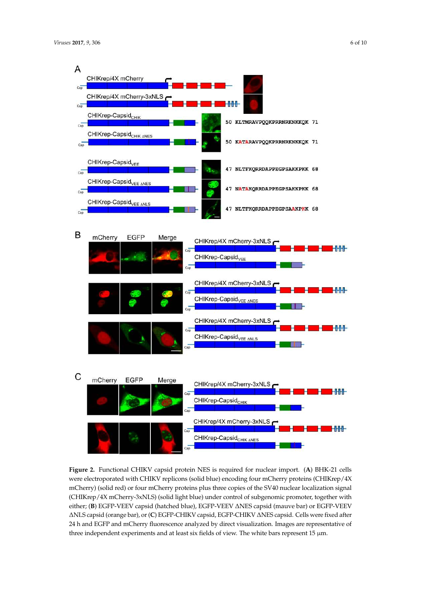

either; (**B**) EGFP-VEEV capsid (hatched blue), EGFP-VEEV ∆NES capsid (mauve bar) or EGFP-VEEV Δ Δ ∆NLS capsid (orange bar), or (**C**) EGFP-CHIKV capsid, EGFP-CHIKV ∆NES capsid. Cells were fixed after **Figure 2.** Functional CHIKV capsid protein NES is required for nuclear import. (**A**) BHK-21 cells were electroporated with CHIKV replicons (solid blue) encoding four mCherry proteins (CHIKrep/4X mCherry) (solid red) or four mCherry proteins plus three copies of the SV40 nuclear localization signal (CHIKrep/4X mCherry-3xNLS) (solid light blue) under control of subgenomic promoter, together with 24 h and EGFP and mCherry fluorescence analyzed by direct visualization. Images are representative of three independent experiments and at least six fields of view. The white bars represent  $15 \mu m$ .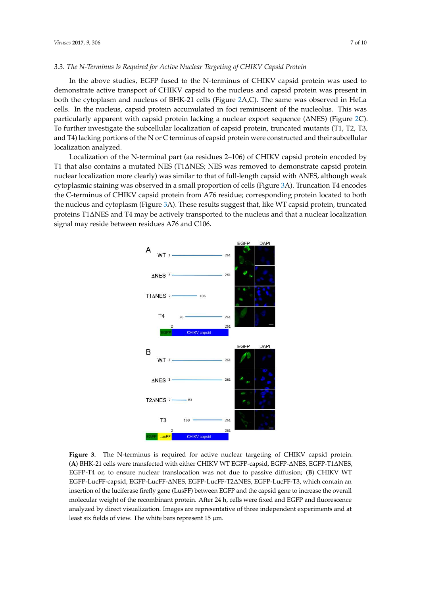## *3.3. The N-Terminus Is Required for Active Nuclear Targeting of CHIKV Capsid Protein*

In the above studies, EGFP fused to the N-terminus of CHIKV capsid protein was used to demonstrate active transport of CHIKV capsid to the nucleus and capsid protein was present in both the cytoplasm and nucleus of BHK-21 cells (Figure 2A,C). The same was observed in HeLa cells. In the nucleus, capsid protein accumulated in foci reminiscent of the nucleolus. This was particularly apparent with capsid protein lacking a nuclear export sequence (∆NES) (Figure 2C). To further investigate the subcellular localization of capsid protein, truncated mutants (T1, T2, T3, and T4) lacking portions of the N or C terminus of capsid protein were constructed and their subcellular localization analyzed.

Localization of the N-terminal part (aa residues 2–106) of CHIKV capsid protein encoded by T1 that also contains a mutated NES (T1∆NES; NES was removed to demonstrate capsid protein nuclear localization more clearly) was similar to that of full-length capsid with ∆NES, although weak cytoplasmic staining was observed in a small proportion of cells (Figure 3A). Truncation T4 encodes the C-terminus of CHIKV capsid protein from A76 residue; corresponding protein located to both the nucleus and cytoplasm (Figure 3A). These results suggest that, like WT capsid protein, truncated proteins T1∆NES and T4 may be actively transported to the nucleus and that a nuclear localization signal may reside between residues A76 and C106.



∆ ∆ (**A**) BHK-21 cells were transfected with either CHIKV WT EGFP-capsid, EGFP-∆NES, EGFP-T1∆NES, ∆ ∆ EGFP-LucFF-capsid, EGFP-LucFF-∆NES, EGFP-LucFF-T2∆NES, EGFP-LucFF-T3, which contain an **Figure 3.** The N-terminus is required for active nuclear targeting of CHIKV capsid protein. EGFP-T4 or, to ensure nuclear translocation was not due to passive diffusion; (**B**) CHIKV WT insertion of the luciferase firefly gene (LusFF) between EGFP and the capsid gene to increase the overall molecular weight of the recombinant protein. After 24 h, cells were fixed and EGFP and fluorescence analyzed by direct visualization. Images are representative of three independent experiments and at least six fields of view. The white bars represent 15  $\mu$ m.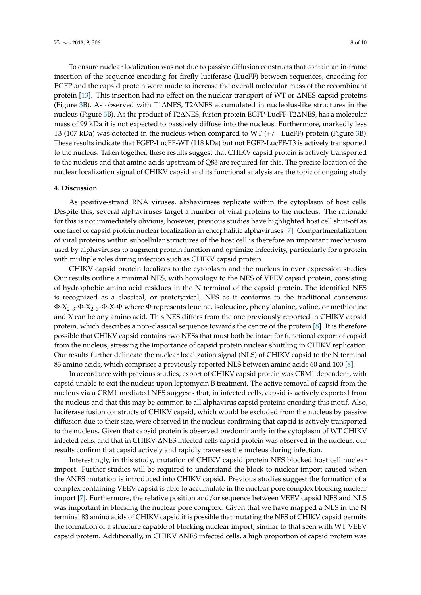To ensure nuclear localization was not due to passive diffusion constructs that contain an in-frame insertion of the sequence encoding for firefly luciferase (LucFF) between sequences, encoding for EGFP and the capsid protein were made to increase the overall molecular mass of the recombinant protein [13]. This insertion had no effect on the nuclear transport of WT or ∆NES capsid proteins (Figure 3B). As observed with T1∆NES, T2∆NES accumulated in nucleolus-like structures in the nucleus (Figure 3B). As the product of T2∆NES, fusion protein EGFP-LucFF-T2∆NES, has a molecular mass of 99 kDa it is not expected to passively diffuse into the nucleus. Furthermore, markedly less T3 (107 kDa) was detected in the nucleus when compared to WT (+/−LucFF) protein (Figure 3B). These results indicate that EGFP-LucFF-WT (118 kDa) but not EGFP-LucFF-T3 is actively transported to the nucleus. Taken together, these results suggest that CHIKV capsid protein is actively transported to the nucleus and that amino acids upstream of Q83 are required for this. The precise location of the nuclear localization signal of CHIKV capsid and its functional analysis are the topic of ongoing study.

#### **4. Discussion**

As positive-strand RNA viruses, alphaviruses replicate within the cytoplasm of host cells. Despite this, several alphaviruses target a number of viral proteins to the nucleus. The rationale for this is not immediately obvious, however, previous studies have highlighted host cell shut-off as one facet of capsid protein nuclear localization in encephalitic alphaviruses [7]. Compartmentalization of viral proteins within subcellular structures of the host cell is therefore an important mechanism used by alphaviruses to augment protein function and optimize infectivity, particularly for a protein with multiple roles during infection such as CHIKV capsid protein.

CHIKV capsid protein localizes to the cytoplasm and the nucleus in over expression studies. Our results outline a minimal NES, with homology to the NES of VEEV capsid protein, consisting of hydrophobic amino acid residues in the N terminal of the capsid protein. The identified NES is recognized as a classical, or prototypical, NES as it conforms to the traditional consensus  $\Phi$ -X<sub>2-3</sub>-Φ-X<sub>2-3</sub>-Φ-X-Φ where Φ represents leucine, isoleucine, phenylalanine, valine, or methionine and X can be any amino acid. This NES differs from the one previously reported in CHIKV capsid protein, which describes a non-classical sequence towards the centre of the protein [8]. It is therefore possible that CHIKV capsid contains two NESs that must both be intact for functional export of capsid from the nucleus, stressing the importance of capsid protein nuclear shuttling in CHIKV replication. Our results further delineate the nuclear localization signal (NLS) of CHIKV capsid to the N terminal 83 amino acids, which comprises a previously reported NLS between amino acids 60 and 100 [8].

In accordance with previous studies, export of CHIKV capsid protein was CRM1 dependent, with capsid unable to exit the nucleus upon leptomycin B treatment. The active removal of capsid from the nucleus via a CRM1 mediated NES suggests that, in infected cells, capsid is actively exported from the nucleus and that this may be common to all alphavirus capsid proteins encoding this motif. Also, luciferase fusion constructs of CHIKV capsid, which would be excluded from the nucleus by passive diffusion due to their size, were observed in the nucleus confirming that capsid is actively transported to the nucleus. Given that capsid protein is observed predominantly in the cytoplasm of WT CHIKV infected cells, and that in CHIKV ∆NES infected cells capsid protein was observed in the nucleus, our results confirm that capsid actively and rapidly traverses the nucleus during infection.

Interestingly, in this study, mutation of CHIKV capsid protein NES blocked host cell nuclear import. Further studies will be required to understand the block to nuclear import caused when the ∆NES mutation is introduced into CHIKV capsid. Previous studies suggest the formation of a complex containing VEEV capsid is able to accumulate in the nuclear pore complex blocking nuclear import [7]. Furthermore, the relative position and/or sequence between VEEV capsid NES and NLS was important in blocking the nuclear pore complex. Given that we have mapped a NLS in the N terminal 83 amino acids of CHIKV capsid it is possible that mutating the NES of CHIKV capsid permits the formation of a structure capable of blocking nuclear import, similar to that seen with WT VEEV capsid protein. Additionally, in CHIKV ∆NES infected cells, a high proportion of capsid protein was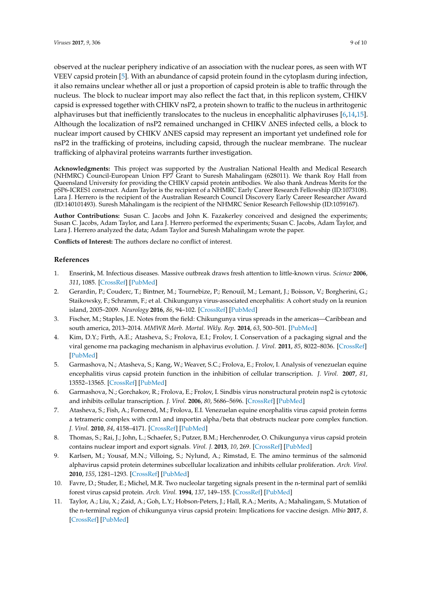observed at the nuclear periphery indicative of an association with the nuclear pores, as seen with WT VEEV capsid protein [5]. With an abundance of capsid protein found in the cytoplasm during infection, it also remains unclear whether all or just a proportion of capsid protein is able to traffic through the nucleus. The block to nuclear import may also reflect the fact that, in this replicon system, CHIKV capsid is expressed together with CHIKV nsP2, a protein shown to traffic to the nucleus in arthritogenic alphaviruses but that inefficiently translocates to the nucleus in encephalitic alphaviruses [6,14,15]. Although the localization of nsP2 remained unchanged in CHIKV ∆NES infected cells, a block to nuclear import caused by CHIKV ∆NES capsid may represent an important yet undefined role for nsP2 in the trafficking of proteins, including capsid, through the nuclear membrane. The nuclear trafficking of alphaviral proteins warrants further investigation.

**Acknowledgments:** This project was supported by the Australian National Health and Medical Research (NHMRC) Council-European Union FP7 Grant to Suresh Mahalingam (628011). We thank Roy Hall from Queensland University for providing the CHIKV capsid protein antibodies. We also thank Andreas Merits for the pSP6-ICRES1 construct. Adam Taylor is the recipient of a NHMRC Early Career Research Fellowship (ID:1073108). Lara J. Herrero is the recipient of the Australian Research Council Discovery Early Career Researcher Award (ID:140101493). Suresh Mahalingam is the recipient of the NHMRC Senior Research Fellowship (ID:1059167).

**Author Contributions:** Susan C. Jacobs and John K. Fazakerley conceived and designed the experiments; Susan C. Jacobs, Adam Taylor, and Lara J. Herrero performed the experiments; Susan C. Jacobs, Adam Taylor, and Lara J. Herrero analyzed the data; Adam Taylor and Suresh Mahalingam wrote the paper.

**Conflicts of Interest:** The authors declare no conflict of interest.

# **References**

- 1. Enserink, M. Infectious diseases. Massive outbreak draws fresh attention to little-known virus. *Science* **2006**, *311*, 1085. [CrossRef] [PubMed]
- 2. Gerardin, P.; Couderc, T.; Bintner, M.; Tournebize, P.; Renouil, M.; Lemant, J.; Boisson, V.; Borgherini, G.; Staikowsky, F.; Schramm, F.; et al. Chikungunya virus-associated encephalitis: A cohort study on la reunion island, 2005–2009. *Neurology* **2016**, *86*, 94–102. [CrossRef] [PubMed]
- 3. Fischer, M.; Staples, J.E. Notes from the field: Chikungunya virus spreads in the americas—Caribbean and south america, 2013–2014. *MMWR Morb. Mortal. Wkly. Rep.* **2014**, *63*, 500–501. [PubMed]
- 4. Kim, D.Y.; Firth, A.E.; Atasheva, S.; Frolova, E.I.; Frolov, I. Conservation of a packaging signal and the viral genome rna packaging mechanism in alphavirus evolution. *J. Virol.* **2011**, *85*, 8022–8036. [CrossRef] [PubMed]
- 5. Garmashova, N.; Atasheva, S.; Kang, W.; Weaver, S.C.; Frolova, E.; Frolov, I. Analysis of venezuelan equine encephalitis virus capsid protein function in the inhibition of cellular transcription. *J. Virol.* **2007**, *81*, 13552–13565. [CrossRef] [PubMed]
- 6. Garmashova, N.; Gorchakov, R.; Frolova, E.; Frolov, I. Sindbis virus nonstructural protein nsp2 is cytotoxic and inhibits cellular transcription. *J. Virol.* **2006**, *80*, 5686–5696. [CrossRef] [PubMed]
- 7. Atasheva, S.; Fish, A.; Fornerod, M.; Frolova, E.I. Venezuelan equine encephalitis virus capsid protein forms a tetrameric complex with crm1 and importin alpha/beta that obstructs nuclear pore complex function. *J. Virol.* **2010**, *84*, 4158–4171. [CrossRef] [PubMed]
- 8. Thomas, S.; Rai, J.; John, L.; Schaefer, S.; Putzer, B.M.; Herchenroder, O. Chikungunya virus capsid protein contains nuclear import and export signals. *Virol. J.* **2013**, *10*, 269. [CrossRef] [PubMed]
- 9. Karlsen, M.; Yousaf, M.N.; Villoing, S.; Nylund, A.; Rimstad, E. The amino terminus of the salmonid alphavirus capsid protein determines subcellular localization and inhibits cellular proliferation. *Arch. Virol.* **2010**, *155*, 1281–1293. [CrossRef] [PubMed]
- 10. Favre, D.; Studer, E.; Michel, M.R. Two nucleolar targeting signals present in the n-terminal part of semliki forest virus capsid protein. *Arch. Virol.* **1994**, *137*, 149–155. [CrossRef] [PubMed]
- 11. Taylor, A.; Liu, X.; Zaid, A.; Goh, L.Y.; Hobson-Peters, J.; Hall, R.A.; Merits, A.; Mahalingam, S. Mutation of the n-terminal region of chikungunya virus capsid protein: Implications for vaccine design. *Mbio* **2017**, *8*. [CrossRef] [PubMed]